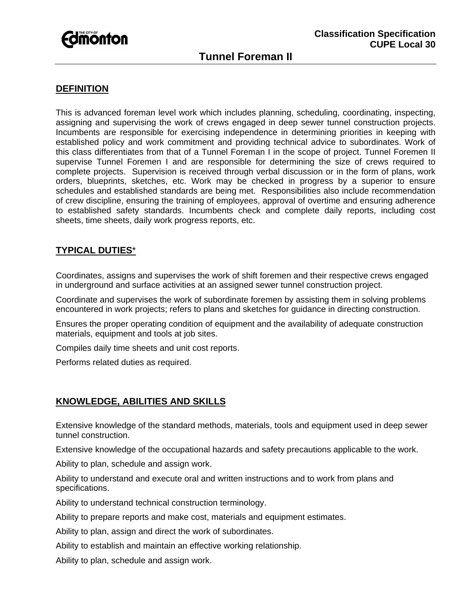

## **DEFINITION**

This is advanced foreman level work which includes planning, scheduling, coordinating, inspecting, assigning and supervising the work of crews engaged in deep sewer tunnel construction projects. Incumbents are responsible for exercising independence in determining priorities in keeping with established policy and work commitment and providing technical advice to subordinates. Work of this class differentiates from that of a Tunnel Foreman I in the scope of project. Tunnel Foremen II supervise Tunnel Foremen I and are responsible for determining the size of crews required to complete projects. Supervision is received through verbal discussion or in the form of plans, work orders, blueprints, sketches, etc. Work may be checked in progress by a superior to ensure schedules and established standards are being met. Responsibilities also include recommendation of crew discipline, ensuring the training of employees, approval of overtime and ensuring adherence to established safety standards. Incumbents check and complete daily reports, including cost sheets, time sheets, daily work progress reports, etc.

## **TYPICAL DUTIES**\*

Coordinates, assigns and supervises the work of shift foremen and their respective crews engaged in underground and surface activities at an assigned sewer tunnel construction project.

Coordinate and supervises the work of subordinate foremen by assisting them in solving problems encountered in work projects; refers to plans and sketches for guidance in directing construction.

Ensures the proper operating condition of equipment and the availability of adequate construction materials, equipment and tools at job sites.

Compiles daily time sheets and unit cost reports.

Performs related duties as required.

## **KNOWLEDGE, ABILITIES AND SKILLS**

Extensive knowledge of the standard methods, materials, tools and equipment used in deep sewer tunnel construction.

Extensive knowledge of the occupational hazards and safety precautions applicable to the work.

Ability to plan, schedule and assign work.

Ability to understand and execute oral and written instructions and to work from plans and specifications.

Ability to understand technical construction terminology.

Ability to prepare reports and make cost, materials and equipment estimates.

Ability to plan, assign and direct the work of subordinates.

Ability to establish and maintain an effective working relationship.

Ability to plan, schedule and assign work.